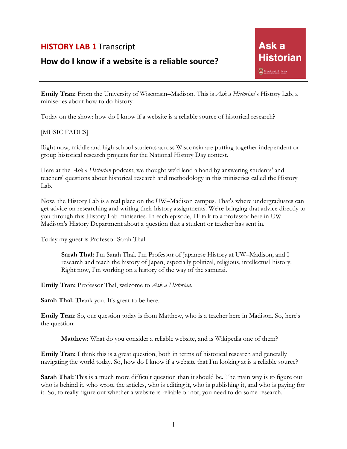## **HISTORY LAB 1** Transcript

## **How do I know if a website is a reliable source?**

**Emily Tran:** From the University of Wisconsin–Madison. This is *Ask a Historian*'s History Lab, a miniseries about how to do history.

Today on the show: how do I know if a website is a reliable source of historical research?

## [MUSIC FADES]

Right now, middle and high school students across Wisconsin are putting together independent or group historical research projects for the National History Day contest.

Here at the *Ask a Historian* podcast, we thought we'd lend a hand by answering students' and teachers' questions about historical research and methodology in this miniseries called the History Lab.

Now, the History Lab is a real place on the UW–Madison campus. That's where undergraduates can get advice on researching and writing their history assignments. We're bringing that advice directly to you through this History Lab miniseries. In each episode, I'll talk to a professor here in UW– Madison's History Department about a question that a student or teacher has sent in.

Today my guest is Professor Sarah Thal.

**Sarah Thal:** I'm Sarah Thal. I'm Professor of Japanese History at UW–Madison, and I research and teach the history of Japan, especially political, religious, intellectual history. Right now, I'm working on a history of the way of the samurai.

**Emily Tran:** Professor Thal, welcome to *Ask a Historian*.

**Sarah Thal:** Thank you. It's great to be here.

**Emily Tran**: So, our question today is from Matthew, who is a teacher here in Madison. So, here's the question:

**Matthew:** What do you consider a reliable website, and is Wikipedia one of them?

**Emily Tran:** I think this is a great question, both in terms of historical research and generally navigating the world today. So, how do I know if a website that I'm looking at is a reliable source?

**Sarah Thal:** This is a much more difficult question than it should be. The main way is to figure out who is behind it, who wrote the articles, who is editing it, who is publishing it, and who is paying for it. So, to really figure out whether a website is reliable or not, you need to do some research.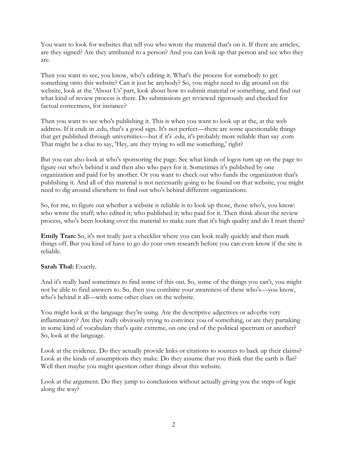You want to look for websites that tell you who wrote the material that's on it. If there are articles, are they signed? Are they attributed to a person? And you can look up that person and see who they are.

Then you want to see, you know, who's editing it. What's the process for somebody to get something onto this website? Can it just be anybody? So, you might need to dig around on the website, look at the 'About Us' part, look about how to submit material or something, and find out what kind of review process is there. Do submissions get reviewed rigorously and checked for factual correctness, for instance?

Then you want to see who's publishing it. This is when you want to look up at the, at the web address. If it ends in .edu, that's a good sign. It's not perfect—there are some questionable things that get published through universities—but if it's .edu, it's probably more reliable than say .com That might be a clue to say, 'Hey, are they trying to sell me something,' right?

But you can also look at who's sponsoring the page. See what kinds of logos turn up on the page to figure out who's behind it and then also who pays for it. Sometimes it's published by one organization and paid for by another. Or you want to check out who funds the organization that's publishing it. And all of this material is not necessarily going to be found on that website, you might need to dig around elsewhere to find out who's behind different organizations.

So, for me, to figure out whether a website is reliable is to look up those, those who's, you know: who wrote the stuff; who edited it; who published it; who paid for it. Then think about the review process, who's been looking over the material to make sure that it's high quality and do I trust them?

**Emily Tran:** So, it's not really just a checklist where you can look really quickly and then mark things off. But you kind of have to go do your own research before you can even know if the site is reliable.

## Sarah Thal: Exactly.

And it's really hard sometimes to find some of this out. So, some of the things you can't, you might not be able to find answers to. So, then you combine your awareness of these who's—you know, who's behind it all—with some other clues on the website.

You might look at the language they're using. Are the descriptive adjectives or adverbs very inflammatory? Are they really obviously trying to convince you of something, or are they partaking in some kind of vocabulary that's quite extreme, on one end of the political spectrum or another? So, look at the language.

Look at the evidence. Do they actually provide links or citations to sources to back up their claims? Look at the kinds of assumptions they make. Do they assume that you think that the earth is flat? Well then maybe you might question other things about this website.

Look at the argument. Do they jump to conclusions without actually giving you the steps of logic along the way?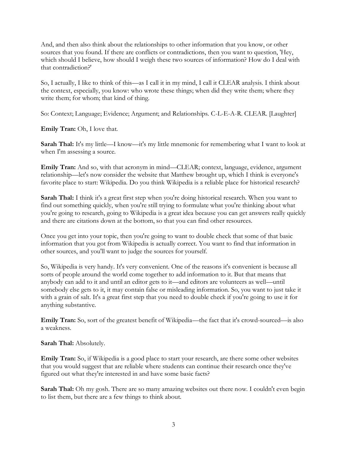And, and then also think about the relationships to other information that you know, or other sources that you found. If there are conflicts or contradictions, then you want to question, 'Hey, which should I believe, how should I weigh these two sources of information? How do I deal with that contradiction?'

So, I actually, I like to think of this—as I call it in my mind, I call it CLEAR analysis. I think about the context, especially, you know: who wrote these things; when did they write them; where they write them; for whom; that kind of thing.

So: Context; Language; Evidence; Argument; and Relationships. C-L-E-A-R. CLEAR. [Laughter]

**Emily Tran:** Oh, I love that.

**Sarah Thal:** It's my little—I know—it's my little mnemonic for remembering what I want to look at when I'm assessing a source.

**Emily Tran:** And so, with that acronym in mind—CLEAR; context, language, evidence, argument relationship—let's now consider the website that Matthew brought up, which I think is everyone's favorite place to start: Wikipedia. Do you think Wikipedia is a reliable place for historical research?

**Sarah Thal:** I think it's a great first step when you're doing historical research. When you want to find out something quickly, when you're still trying to formulate what you're thinking about what you're going to research, going to Wikipedia is a great idea because you can get answers really quickly and there are citations down at the bottom, so that you can find other resources.

Once you get into your topic, then you're going to want to double check that some of that basic information that you got from Wikipedia is actually correct. You want to find that information in other sources, and you'll want to judge the sources for yourself.

So, Wikipedia is very handy. It's very convenient. One of the reasons it's convenient is because all sorts of people around the world come together to add information to it. But that means that anybody can add to it and until an editor gets to it—and editors are volunteers as well—until somebody else gets to it, it may contain false or misleading information. So, you want to just take it with a grain of salt. It's a great first step that you need to double check if you're going to use it for anything substantive.

**Emily Tran:** So, sort of the greatest benefit of Wikipedia—the fact that it's crowd-sourced—is also a weakness.

**Sarah Thal:** Absolutely.

**Emily Tran:** So, if Wikipedia is a good place to start your research, are there some other websites that you would suggest that are reliable where students can continue their research once they've figured out what they're interested in and have some basic facts?

Sarah Thal: Oh my gosh. There are so many amazing websites out there now. I couldn't even begin to list them, but there are a few things to think about.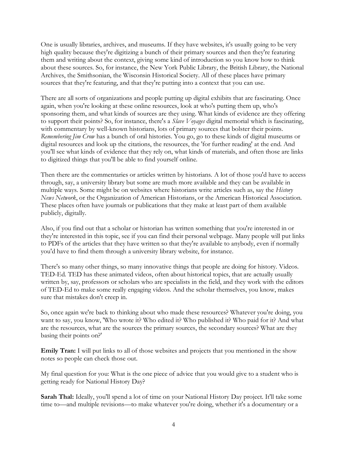One is usually libraries, archives, and museums. If they have websites, it's usually going to be very high quality because they're digitizing a bunch of their primary sources and then they're featuring them and writing about the context, giving some kind of introduction so you know how to think about these sources. So, for instance, the New York Public Library, the British Library, the National Archives, the Smithsonian, the Wisconsin Historical Society. All of these places have primary sources that they're featuring, and that they're putting into a context that you can use.

There are all sorts of organizations and people putting up digital exhibits that are fascinating. Once again, when you're looking at these online resources, look at who's putting them up, who's sponsoring them, and what kinds of sources are they using. What kinds of evidence are they offering to support their points? So, for instance, there's a *Slave Voyages* digital memorial which is fascinating, with commentary by well-known historians, lots of primary sources that bolster their points. *Remembering Jim Crow* has a bunch of oral histories. You go, go to these kinds of digital museums or digital resources and look up the citations, the resources, the 'for further reading' at the end. And you'll see what kinds of evidence that they rely on, what kinds of materials, and often those are links to digitized things that you'll be able to find yourself online.

Then there are the commentaries or articles written by historians. A lot of those you'd have to access through, say, a university library but some are much more available and they can be available in multiple ways. Some might be on websites where historians write articles such as, say the *History News Network*, or the Organization of American Historians, or the American Historical Association. These places often have journals or publications that they make at least part of them available publicly, digitally.

Also, if you find out that a scholar or historian has written something that you're interested in or they're interested in this topic, see if you can find their personal webpage. Many people will put links to PDFs of the articles that they have written so that they're available to anybody, even if normally you'd have to find them through a university library website, for instance.

There's so many other things, so many innovative things that people are doing for history. Videos. TED-Ed. TED has these animated videos, often about historical topics, that are actually usually written by, say, professors or scholars who are specialists in the field, and they work with the editors of TED-Ed to make some really engaging videos. And the scholar themselves, you know, makes sure that mistakes don't creep in.

So, once again we're back to thinking about who made these resources? Whatever you're doing, you want to say, you know, 'Who wrote it? Who edited it? Who published it? Who paid for it? And what are the resources, what are the sources the primary sources, the secondary sources? What are they basing their points on?'

**Emily Tran:** I will put links to all of those websites and projects that you mentioned in the show notes so people can check those out.

My final question for you: What is the one piece of advice that you would give to a student who is getting ready for National History Day?

**Sarah Thal:** Ideally, you'll spend a lot of time on your National History Day project. It'll take some time to—and multiple revisions—to make whatever you're doing, whether it's a documentary or a